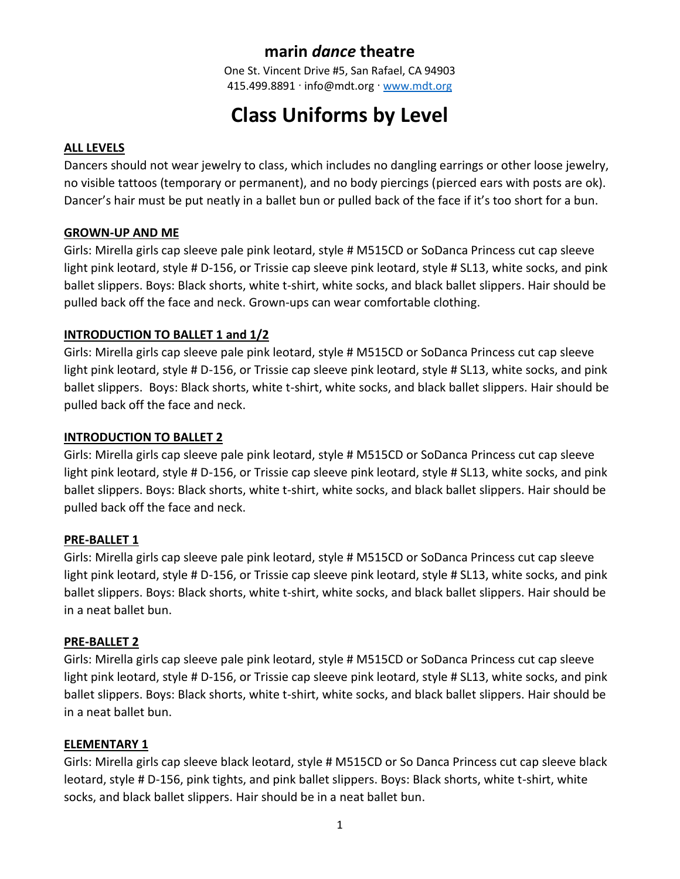# **marin** *dance* **theatre**

One St. Vincent Drive #5, San Rafael, CA 94903 415.499.8891 · info@mdt.org · [www.mdt.org](http://www.mdt.org/)

# **Class Uniforms by Level**

#### **ALL LEVELS**

Dancers should not wear jewelry to class, which includes no dangling earrings or other loose jewelry, no visible tattoos (temporary or permanent), and no body piercings (pierced ears with posts are ok). Dancer's hair must be put neatly in a ballet bun or pulled back of the face if it's too short for a bun.

#### **GROWN-UP AND ME**

Girls: Mirella girls cap sleeve pale pink leotard, style # M515CD or SoDanca Princess cut cap sleeve light pink leotard, style # D-156, or Trissie cap sleeve pink leotard, style # SL13, white socks, and pink ballet slippers. Boys: Black shorts, white t-shirt, white socks, and black ballet slippers. Hair should be pulled back off the face and neck. Grown-ups can wear comfortable clothing.

# **INTRODUCTION TO BALLET 1 and 1/2**

Girls: Mirella girls cap sleeve pale pink leotard, style # M515CD or SoDanca Princess cut cap sleeve light pink leotard, style # D-156, or Trissie cap sleeve pink leotard, style # SL13, white socks, and pink ballet slippers. Boys: Black shorts, white t-shirt, white socks, and black ballet slippers. Hair should be pulled back off the face and neck.

#### **INTRODUCTION TO BALLET 2**

Girls: Mirella girls cap sleeve pale pink leotard, style # M515CD or SoDanca Princess cut cap sleeve light pink leotard, style # D-156, or Trissie cap sleeve pink leotard, style # SL13, white socks, and pink ballet slippers. Boys: Black shorts, white t-shirt, white socks, and black ballet slippers. Hair should be pulled back off the face and neck.

#### **PRE-BALLET 1**

Girls: Mirella girls cap sleeve pale pink leotard, style # M515CD or SoDanca Princess cut cap sleeve light pink leotard, style # D-156, or Trissie cap sleeve pink leotard, style # SL13, white socks, and pink ballet slippers. Boys: Black shorts, white t-shirt, white socks, and black ballet slippers. Hair should be in a neat ballet bun.

# **PRE-BALLET 2**

Girls: Mirella girls cap sleeve pale pink leotard, style # M515CD or SoDanca Princess cut cap sleeve light pink leotard, style # D-156, or Trissie cap sleeve pink leotard, style # SL13, white socks, and pink ballet slippers. Boys: Black shorts, white t-shirt, white socks, and black ballet slippers. Hair should be in a neat ballet bun.

#### **ELEMENTARY 1**

Girls: Mirella girls cap sleeve black leotard, style # M515CD or So Danca Princess cut cap sleeve black leotard, style # D-156, pink tights, and pink ballet slippers. Boys: Black shorts, white t-shirt, white socks, and black ballet slippers. Hair should be in a neat ballet bun.